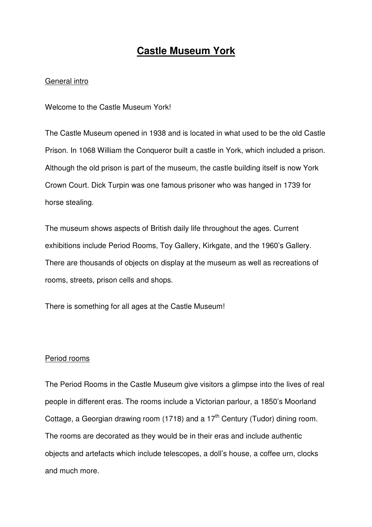# **Castle Museum York**

#### General intro

Welcome to the Castle Museum York!

The Castle Museum opened in 1938 and is located in what used to be the old Castle Prison. In 1068 William the Conqueror built a castle in York, which included a prison. Although the old prison is part of the museum, the castle building itself is now York Crown Court. Dick Turpin was one famous prisoner who was hanged in 1739 for horse stealing.

The museum shows aspects of British daily life throughout the ages. Current exhibitions include Period Rooms, Toy Gallery, Kirkgate, and the 1960's Gallery. There are thousands of objects on display at the museum as well as recreations of rooms, streets, prison cells and shops.

There is something for all ages at the Castle Museum!

#### Period rooms

The Period Rooms in the Castle Museum give visitors a glimpse into the lives of real people in different eras. The rooms include a Victorian parlour, a 1850's Moorland Cottage, a Georgian drawing room (1718) and a  $17<sup>th</sup>$  Century (Tudor) dining room. The rooms are decorated as they would be in their eras and include authentic objects and artefacts which include telescopes, a doll's house, a coffee urn, clocks and much more.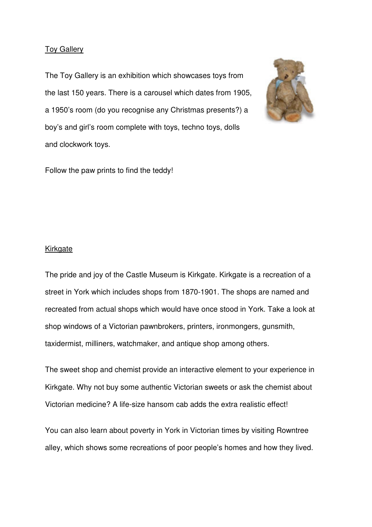#### **Toy Gallery**

The Toy Gallery is an exhibition which showcases toys from the last 150 years. There is a carousel which dates from 1905, a 1950's room (do you recognise any Christmas presents?) a boy's and girl's room complete with toys, techno toys, dolls and clockwork toys.



Follow the paw prints to find the teddy!

#### Kirkgate

The pride and joy of the Castle Museum is Kirkgate. Kirkgate is a recreation of a street in York which includes shops from 1870-1901. The shops are named and recreated from actual shops which would have once stood in York. Take a look at shop windows of a Victorian pawnbrokers, printers, ironmongers, gunsmith, taxidermist, milliners, watchmaker, and antique shop among others.

The sweet shop and chemist provide an interactive element to your experience in Kirkgate. Why not buy some authentic Victorian sweets or ask the chemist about Victorian medicine? A life-size hansom cab adds the extra realistic effect!

You can also learn about poverty in York in Victorian times by visiting Rowntree alley, which shows some recreations of poor people's homes and how they lived.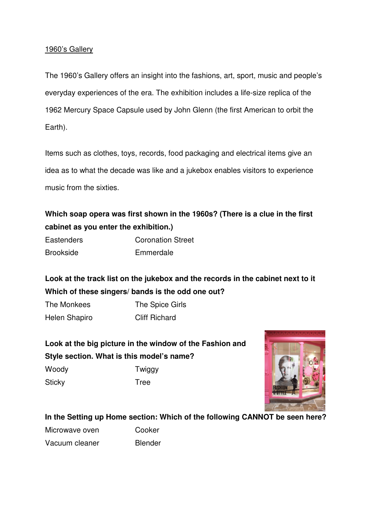#### 1960's Gallery

The 1960's Gallery offers an insight into the fashions, art, sport, music and people's everyday experiences of the era. The exhibition includes a life-size replica of the 1962 Mercury Space Capsule used by John Glenn (the first American to orbit the Earth).

Items such as clothes, toys, records, food packaging and electrical items give an idea as to what the decade was like and a jukebox enables visitors to experience music from the sixties.

**Which soap opera was first shown in the 1960s? (There is a clue in the first cabinet as you enter the exhibition.)**

| <b>Eastenders</b> | <b>Coronation Street</b> |
|-------------------|--------------------------|
| <b>Brookside</b>  | Emmerdale                |

**Look at the track list on the jukebox and the records in the cabinet next to it Which of these singers/ bands is the odd one out?** 

The Monkees The Spice Girls Helen Shapiro Cliff Richard

**Look at the big picture in the window of the Fashion and Style section. What is this model's name?**  Woody **Twiggy** 

Sticky **Tree** 



### **In the Setting up Home section: Which of the following CANNOT be seen here?**

Microwave oven Cooker Vacuum cleaner Blender